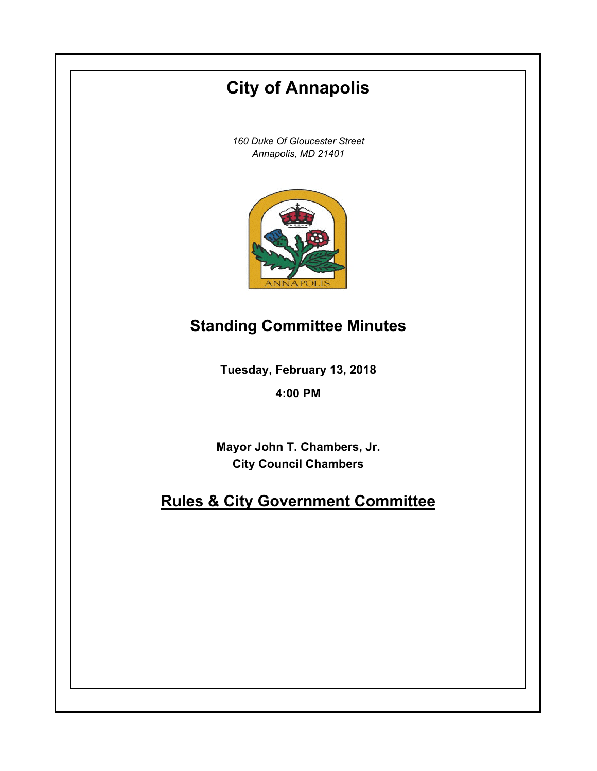# **City of Annapolis**

*160 Duke Of Gloucester Street Annapolis, MD 21401*



## **Standing Committee Minutes**

**Tuesday, February 13, 2018**

**4:00 PM**

**Mayor John T. Chambers, Jr. City Council Chambers**

## **Rules & City Government Committee**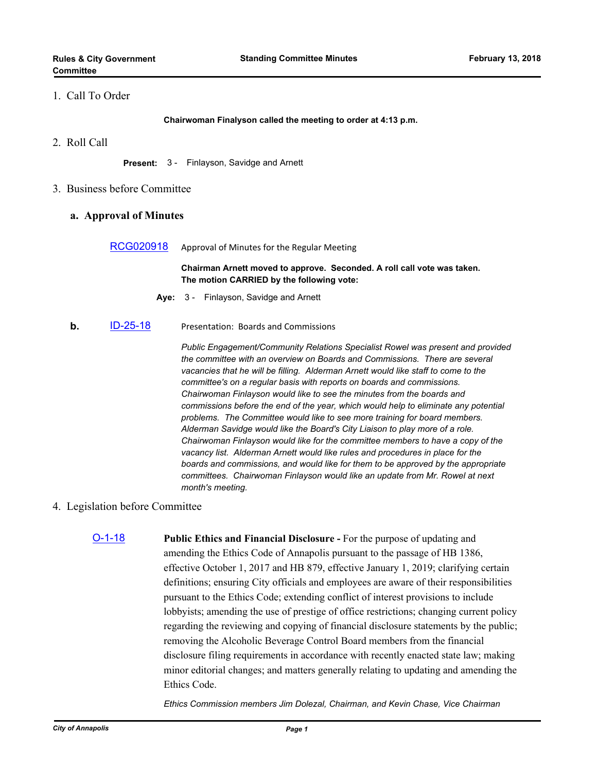## 1. Call To Order

**Chairwoman Finalyson called the meeting to order at 4:13 p.m.**

2. Roll Call

**Present:** 3 - Finlayson, Savidge and Arnett

3. Business before Committee

#### **a. Approval of Minutes**

[RCG020918](http://annapolismd.legistar.com/gateway.aspx?m=l&id=/matter.aspx?key=3527) Approval of Minutes for the Regular Meeting

**Chairman Arnett moved to approve. Seconded. A roll call vote was taken. The motion CARRIED by the following vote:**

- **Aye:** 3 Finlayson, Savidge and Arnett
- **b.** [ID-25-18](http://annapolismd.legistar.com/gateway.aspx?m=l&id=/matter.aspx?key=3492) Presentation: Boards and Commissions

*Public Engagement/Community Relations Specialist Rowel was present and provided the committee with an overview on Boards and Commissions. There are several vacancies that he will be filling. Alderman Arnett would like staff to come to the committee's on a regular basis with reports on boards and commissions. Chairwoman Finlayson would like to see the minutes from the boards and commissions before the end of the year, which would help to eliminate any potential problems. The Committee would like to see more training for board members. Alderman Savidge would like the Board's City Liaison to play more of a role. Chairwoman Finlayson would like for the committee members to have a copy of the vacancy list. Alderman Arnett would like rules and procedures in place for the boards and commissions, and would like for them to be approved by the appropriate committees. Chairwoman Finlayson would like an update from Mr. Rowel at next month's meeting.*

### 4. Legislation before Committee

[O-1-18](http://annapolismd.legistar.com/gateway.aspx?m=l&id=/matter.aspx?key=3453) **Public Ethics and Financial Disclosure -** For the purpose of updating and amending the Ethics Code of Annapolis pursuant to the passage of HB 1386, effective October 1, 2017 and HB 879, effective January 1, 2019; clarifying certain definitions; ensuring City officials and employees are aware of their responsibilities pursuant to the Ethics Code; extending conflict of interest provisions to include lobbyists; amending the use of prestige of office restrictions; changing current policy regarding the reviewing and copying of financial disclosure statements by the public; removing the Alcoholic Beverage Control Board members from the financial disclosure filing requirements in accordance with recently enacted state law; making minor editorial changes; and matters generally relating to updating and amending the Ethics Code.

*Ethics Commission members Jim Dolezal, Chairman, and Kevin Chase, Vice Chairman*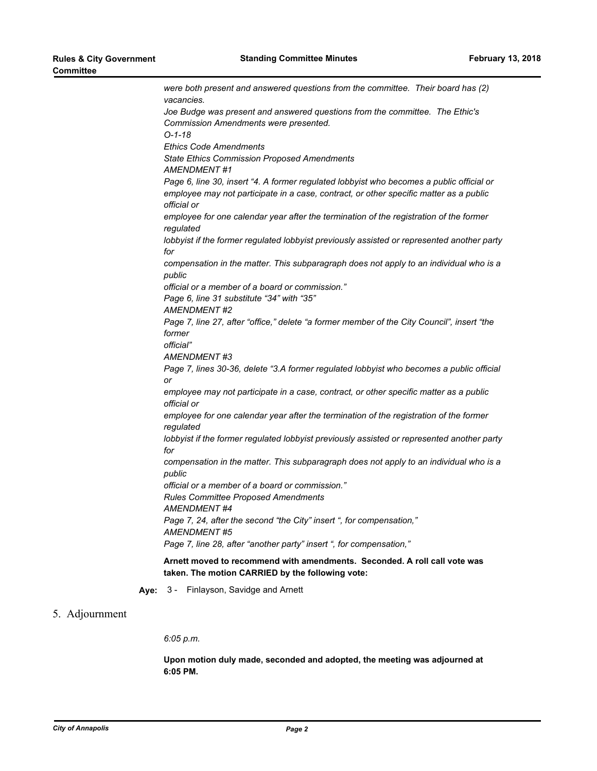*were both present and answered questions from the committee. Their board has (2) vacancies. Joe Budge was present and answered questions from the committee. The Ethic's Commission Amendments were presented. O-1-18 Ethics Code Amendments State Ethics Commission Proposed Amendments AMENDMENT #1 Page 6, line 30, insert "4. A former regulated lobbyist who becomes a public official or employee may not participate in a case, contract, or other specific matter as a public official or employee for one calendar year after the termination of the registration of the former regulated lobbyist if the former regulated lobbyist previously assisted or represented another party for compensation in the matter. This subparagraph does not apply to an individual who is a public official or a member of a board or commission." Page 6, line 31 substitute "34" with "35" AMENDMENT #2 Page 7, line 27, after "office," delete "a former member of the City Council", insert "the former official" AMENDMENT #3 Page 7, lines 30-36, delete "3.A former regulated lobbyist who becomes a public official or employee may not participate in a case, contract, or other specific matter as a public official or employee for one calendar year after the termination of the registration of the former regulated lobbyist if the former regulated lobbyist previously assisted or represented another party for compensation in the matter. This subparagraph does not apply to an individual who is a public official or a member of a board or commission." Rules Committee Proposed Amendments AMENDMENT #4 Page 7, 24, after the second "the City" insert ", for compensation," AMENDMENT #5 Page 7, line 28, after "another party" insert ", for compensation,"* **Arnett moved to recommend with amendments. Seconded. A roll call vote was taken. The motion CARRIED by the following vote:**

**Aye:** 3 - Finlayson, Savidge and Arnett

### 5. Adjournment

*6:05 p.m.*

**Upon motion duly made, seconded and adopted, the meeting was adjourned at 6:05 PM.**